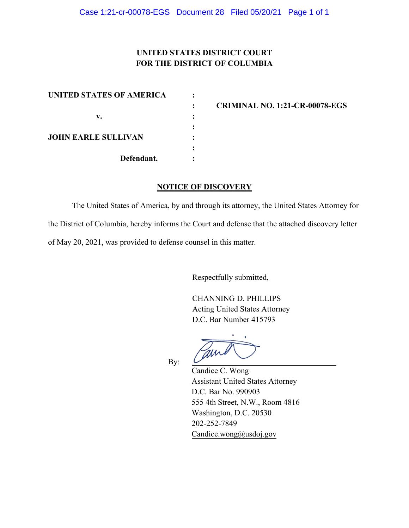## **UNITED STATES DISTRICT COURT FOR THE DISTRICT OF COLUMBIA**

| <b>UNITED STATES OF AMERICA</b> |  |
|---------------------------------|--|
|                                 |  |
| v.                              |  |
| <b>JOHN EARLE SULLIVAN</b>      |  |
|                                 |  |
|                                 |  |
| Defendant.                      |  |

**: CRIMINAL NO. 1:21-CR-00078-EGS** 

## **NOTICE OF DISCOVERY**

The United States of America, by and through its attorney, the United States Attorney for the District of Columbia, hereby informs the Court and defense that the attached discovery letter of May 20, 2021, was provided to defense counsel in this matter.

Respectfully submitted,

CHANNING D. PHILLIPS Acting United States Attorney D.C. Bar Number 415793

am

By:

Candice C. Wong Assistant United States Attorney D.C. Bar No. 990903 555 4th Street, N.W., Room 4816 Washington, D.C. 20530 202-252-7849 Candice.wong@usdoj.gov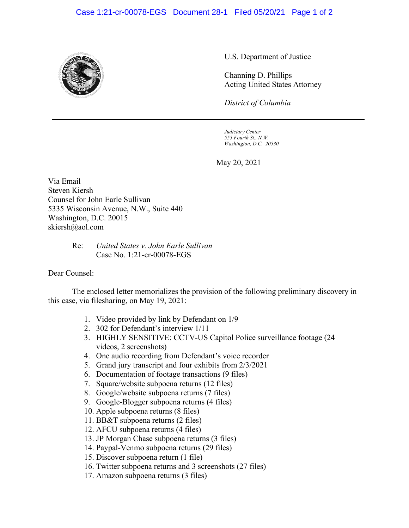## Case 1:21-cr-00078-EGS Document 28-1 Filed 05/20/21 Page 1 of 2



U.S. Department of Justice

Channing D. Phillips Acting United States Attorney

*District of Columbia*

*Judiciary Center 555 Fourth St., N.W. Washington, D.C. 20530*

May 20, 2021

Via Email Steven Kiersh Counsel for John Earle Sullivan 5335 Wisconsin Avenue, N.W., Suite 440 Washington, D.C. 20015 skiersh@aol.com

> Re: *United States v. John Earle Sullivan* Case No. 1:21-cr-00078-EGS

## Dear Counsel:

The enclosed letter memorializes the provision of the following preliminary discovery in this case, via filesharing, on May 19, 2021:

- 1. Video provided by link by Defendant on 1/9
- 2. 302 for Defendant's interview 1/11
- 3. HIGHLY SENSITIVE: CCTV-US Capitol Police surveillance footage (24 videos, 2 screenshots)
- 4. One audio recording from Defendant's voice recorder
- 5. Grand jury transcript and four exhibits from 2/3/2021
- 6. Documentation of footage transactions (9 files)
- 7. Square/website subpoena returns (12 files)
- 8. Google/website subpoena returns (7 files)
- 9. Google-Blogger subpoena returns (4 files)
- 10. Apple subpoena returns (8 files)
- 11. BB&T subpoena returns (2 files)
- 12. AFCU subpoena returns (4 files)
- 13. JP Morgan Chase subpoena returns (3 files)
- 14. Paypal-Venmo subpoena returns (29 files)
- 15. Discover subpoena return (1 file)
- 16. Twitter subpoena returns and 3 screenshots (27 files)
- 17. Amazon subpoena returns (3 files)